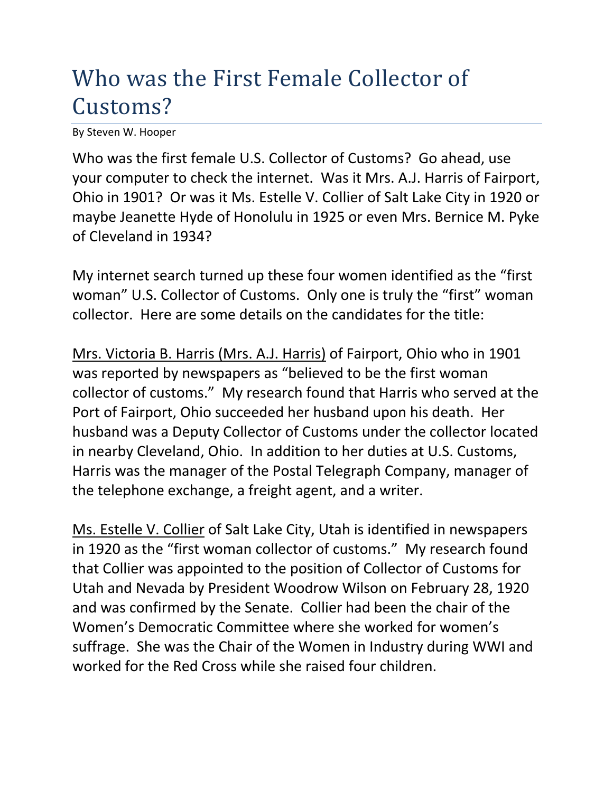## Who was the First Female Collector of Customs?

By Steven W. Hooper

Who was the first female U.S. Collector of Customs? Go ahead, use your computer to check the internet. Was it Mrs. A.J. Harris of Fairport, Ohio in 1901? Or was it Ms. Estelle V. Collier of Salt Lake City in 1920 or maybe Jeanette Hyde of Honolulu in 1925 or even Mrs. Bernice M. Pyke of Cleveland in 1934?

My internet search turned up these four women identified as the "first woman" U.S. Collector of Customs. Only one is truly the "first" woman collector. Here are some details on the candidates for the title:

Mrs. Victoria B. Harris (Mrs. A.J. Harris) of Fairport, Ohio who in 1901 was reported by newspapers as "believed to be the first woman collector of customs." My research found that Harris who served at the Port of Fairport, Ohio succeeded her husband upon his death. Her husband was a Deputy Collector of Customs under the collector located in nearby Cleveland, Ohio. In addition to her duties at U.S. Customs, Harris was the manager of the Postal Telegraph Company, manager of the telephone exchange, a freight agent, and a writer.

Ms. Estelle V. Collier of Salt Lake City, Utah is identified in newspapers in 1920 as the "first woman collector of customs." My research found that Collier was appointed to the position of Collector of Customs for Utah and Nevada by President Woodrow Wilson on February 28, 1920 and was confirmed by the Senate. Collier had been the chair of the Women's Democratic Committee where she worked for women's suffrage. She was the Chair of the Women in Industry during WWI and worked for the Red Cross while she raised four children.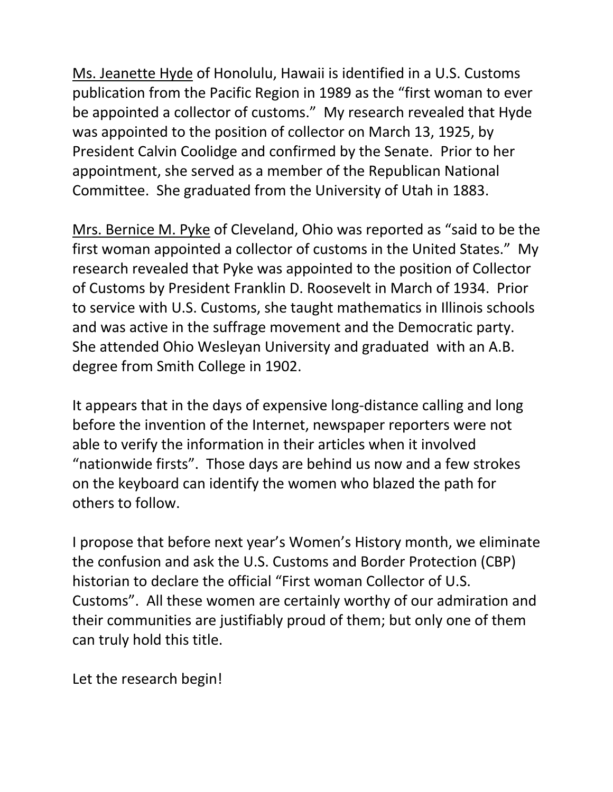Ms. Jeanette Hyde of Honolulu, Hawaii is identified in a U.S. Customs publication from the Pacific Region in 1989 as the "first woman to ever be appointed a collector of customs." My research revealed that Hyde was appointed to the position of collector on March 13, 1925, by President Calvin Coolidge and confirmed by the Senate. Prior to her appointment, she served as a member of the Republican National Committee. She graduated from the University of Utah in 1883.

Mrs. Bernice M. Pyke of Cleveland, Ohio was reported as "said to be the first woman appointed a collector of customs in the United States." My research revealed that Pyke was appointed to the position of Collector of Customs by President Franklin D. Roosevelt in March of 1934. Prior to service with U.S. Customs, she taught mathematics in Illinois schools and was active in the suffrage movement and the Democratic party. She attended Ohio Wesleyan University and graduated with an A.B. degree from Smith College in 1902.

It appears that in the days of expensive long-distance calling and long before the invention of the Internet, newspaper reporters were not able to verify the information in their articles when it involved "nationwide firsts". Those days are behind us now and a few strokes on the keyboard can identify the women who blazed the path for others to follow.

I propose that before next year's Women's History month, we eliminate the confusion and ask the U.S. Customs and Border Protection (CBP) historian to declare the official "First woman Collector of U.S. Customs". All these women are certainly worthy of our admiration and their communities are justifiably proud of them; but only one of them can truly hold this title.

Let the research begin!